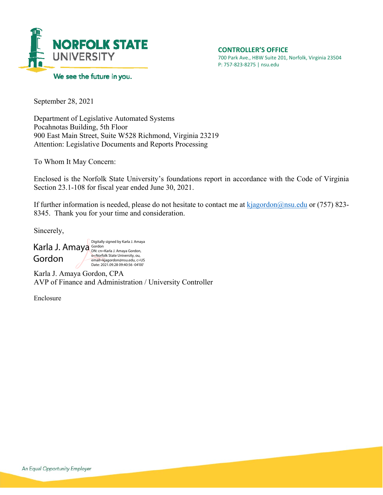

September 28, 2021

Department of Legislative Automated Systems Pocahnotas Building, 5th Floor 900 East Main Street, Suite W528 Richmond, Virginia 23219 Attention: Legislative Documents and Reports Processing

To Whom It May Concern:

Enclosed is the Norfolk State University's foundations report in accordance with the Code of Virginia Section 23.1-108 for fiscal year ended June 30, 2021.

If further information is needed, please do not hesitate to contact me at  $\frac{k$ jagordon@nsu.edu or (757) 823-8345. Thank you for your time and consideration.

Sincerely,

Karla J. Amaya Gordon Manaya Gordon, Gordon Digitally signed by Karla J. Amaya o=Norfolk State University, ou, email=kjagordon@nsu.edu, c=US Date: 2021.09.28 09:40:56 -04'00'

Karla J. Amaya Gordon, CPA AVP of Finance and Administration / University Controller

Enclosure